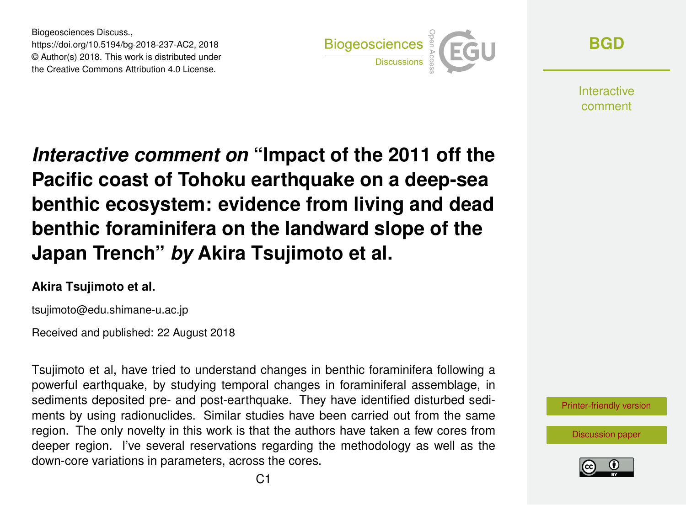Biogeosciences Discuss., https://doi.org/10.5194/bg-2018-237-AC2, 2018 © Author(s) 2018. This work is distributed under the Creative Commons Attribution 4.0 License.



**[BGD](https://www.biogeosciences-discuss.net/)**

**Interactive** comment

*Interactive comment on* **"Impact of the 2011 off the Pacific coast of Tohoku earthquake on a deep-sea benthic ecosystem: evidence from living and dead benthic foraminifera on the landward slope of the Japan Trench"** *by* **Akira Tsujimoto et al.**

## **Akira Tsujimoto et al.**

tsujimoto@edu.shimane-u.ac.jp

Received and published: 22 August 2018

Tsujimoto et al, have tried to understand changes in benthic foraminifera following a powerful earthquake, by studying temporal changes in foraminiferal assemblage, in sediments deposited pre- and post-earthquake. They have identified disturbed sediments by using radionuclides. Similar studies have been carried out from the same region. The only novelty in this work is that the authors have taken a few cores from deeper region. I've several reservations regarding the methodology as well as the down-core variations in parameters, across the cores.

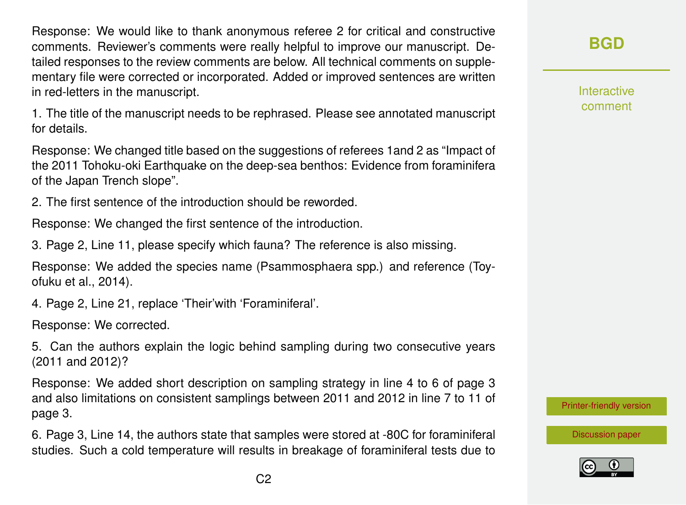Response: We would like to thank anonymous referee 2 for critical and constructive comments. Reviewer's comments were really helpful to improve our manuscript. Detailed responses to the review comments are below. All technical comments on supplementary file were corrected or incorporated. Added or improved sentences are written in red-letters in the manuscript.

1. The title of the manuscript needs to be rephrased. Please see annotated manuscript for details.

Response: We changed title based on the suggestions of referees 1and 2 as "Impact of the 2011 Tohoku-oki Earthquake on the deep-sea benthos: Evidence from foraminifera of the Japan Trench slope".

2. The first sentence of the introduction should be reworded.

Response: We changed the first sentence of the introduction.

3. Page 2, Line 11, please specify which fauna? The reference is also missing.

Response: We added the species name (Psammosphaera spp.) and reference (Toyofuku et al., 2014).

4. Page 2, Line 21, replace 'Their'with 'Foraminiferal'.

Response: We corrected.

5. Can the authors explain the logic behind sampling during two consecutive years (2011 and 2012)?

Response: We added short description on sampling strategy in line 4 to 6 of page 3 and also limitations on consistent samplings between 2011 and 2012 in line 7 to 11 of page 3.

6. Page 3, Line 14, the authors state that samples were stored at -80C for foraminiferal studies. Such a cold temperature will results in breakage of foraminiferal tests due to **[BGD](https://www.biogeosciences-discuss.net/)**

Interactive comment

[Printer-friendly version](https://www.biogeosciences-discuss.net/bg-2018-237/bg-2018-237-AC2-print.pdf)

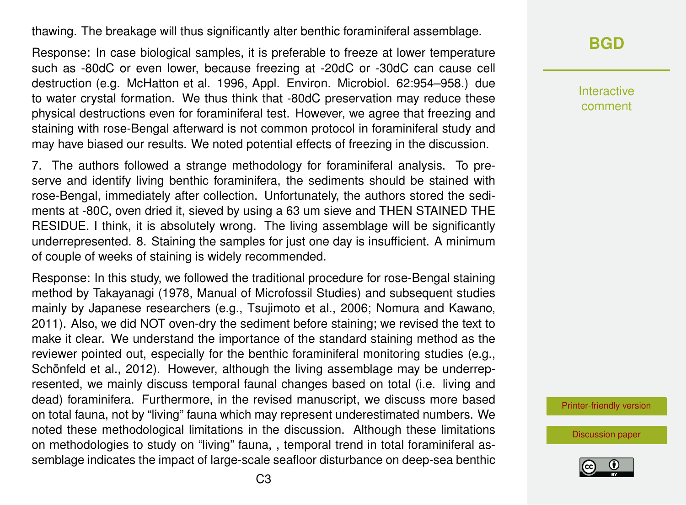thawing. The breakage will thus significantly alter benthic foraminiferal assemblage.

Response: In case biological samples, it is preferable to freeze at lower temperature such as -80dC or even lower, because freezing at -20dC or -30dC can cause cell destruction (e.g. McHatton et al. 1996, Appl. Environ. Microbiol. 62:954–958.) due to water crystal formation. We thus think that -80dC preservation may reduce these physical destructions even for foraminiferal test. However, we agree that freezing and staining with rose-Bengal afterward is not common protocol in foraminiferal study and may have biased our results. We noted potential effects of freezing in the discussion.

7. The authors followed a strange methodology for foraminiferal analysis. To preserve and identify living benthic foraminifera, the sediments should be stained with rose-Bengal, immediately after collection. Unfortunately, the authors stored the sediments at -80C, oven dried it, sieved by using a 63 um sieve and THEN STAINED THE RESIDUE. I think, it is absolutely wrong. The living assemblage will be significantly underrepresented. 8. Staining the samples for just one day is insufficient. A minimum of couple of weeks of staining is widely recommended.

Response: In this study, we followed the traditional procedure for rose-Bengal staining method by Takayanagi (1978, Manual of Microfossil Studies) and subsequent studies mainly by Japanese researchers (e.g., Tsujimoto et al., 2006; Nomura and Kawano, 2011). Also, we did NOT oven-dry the sediment before staining; we revised the text to make it clear. We understand the importance of the standard staining method as the reviewer pointed out, especially for the benthic foraminiferal monitoring studies (e.g., Schönfeld et al., 2012). However, although the living assemblage may be underrepresented, we mainly discuss temporal faunal changes based on total (i.e. living and dead) foraminifera. Furthermore, in the revised manuscript, we discuss more based on total fauna, not by "living" fauna which may represent underestimated numbers. We noted these methodological limitations in the discussion. Although these limitations on methodologies to study on "living" fauna, , temporal trend in total foraminiferal assemblage indicates the impact of large-scale seafloor disturbance on deep-sea benthic **[BGD](https://www.biogeosciences-discuss.net/)**

Interactive comment

[Printer-friendly version](https://www.biogeosciences-discuss.net/bg-2018-237/bg-2018-237-AC2-print.pdf)

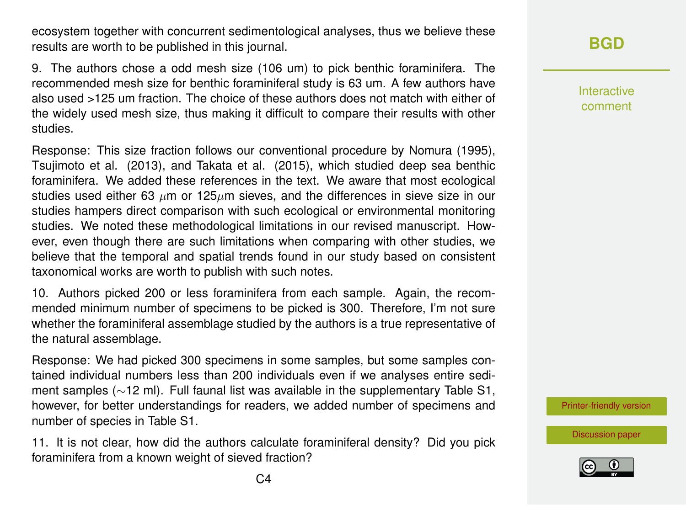ecosystem together with concurrent sedimentological analyses, thus we believe these results are worth to be published in this journal.

9. The authors chose a odd mesh size (106 um) to pick benthic foraminifera. The recommended mesh size for benthic foraminiferal study is 63 um. A few authors have also used >125 um fraction. The choice of these authors does not match with either of the widely used mesh size, thus making it difficult to compare their results with other studies.

Response: This size fraction follows our conventional procedure by Nomura (1995), Tsujimoto et al. (2013), and Takata et al. (2015), which studied deep sea benthic foraminifera. We added these references in the text. We aware that most ecological studies used either 63  $\mu$ m or 125 $\mu$ m sieves, and the differences in sieve size in our studies hampers direct comparison with such ecological or environmental monitoring studies. We noted these methodological limitations in our revised manuscript. However, even though there are such limitations when comparing with other studies, we believe that the temporal and spatial trends found in our study based on consistent taxonomical works are worth to publish with such notes.

10. Authors picked 200 or less foraminifera from each sample. Again, the recommended minimum number of specimens to be picked is 300. Therefore, I'm not sure whether the foraminiferal assemblage studied by the authors is a true representative of the natural assemblage.

Response: We had picked 300 specimens in some samples, but some samples contained individual numbers less than 200 individuals even if we analyses entire sediment samples (∼12 ml). Full faunal list was available in the supplementary Table S1, however, for better understandings for readers, we added number of specimens and number of species in Table S1.

11. It is not clear, how did the authors calculate foraminiferal density? Did you pick foraminifera from a known weight of sieved fraction?

Interactive comment

[Printer-friendly version](https://www.biogeosciences-discuss.net/bg-2018-237/bg-2018-237-AC2-print.pdf)

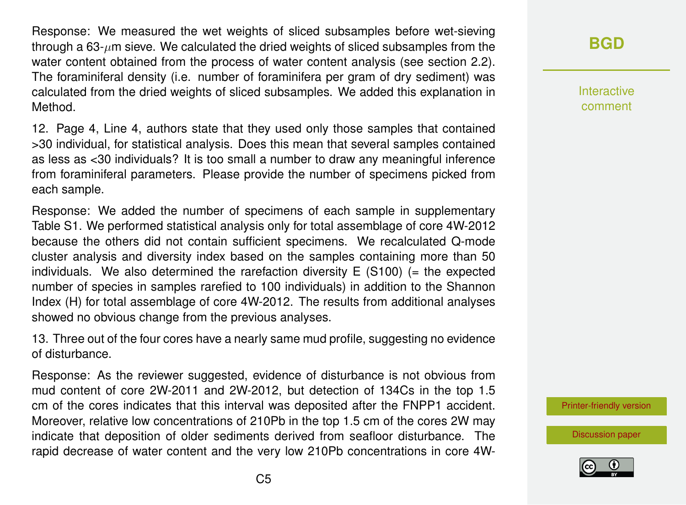Response: We measured the wet weights of sliced subsamples before wet-sieving through a  $63$ - $\mu$ m sieve. We calculated the dried weights of sliced subsamples from the water content obtained from the process of water content analysis (see section 2.2). The foraminiferal density (i.e. number of foraminifera per gram of dry sediment) was calculated from the dried weights of sliced subsamples. We added this explanation in Method.

12. Page 4, Line 4, authors state that they used only those samples that contained >30 individual, for statistical analysis. Does this mean that several samples contained as less as <30 individuals? It is too small a number to draw any meaningful inference from foraminiferal parameters. Please provide the number of specimens picked from each sample.

Response: We added the number of specimens of each sample in supplementary Table S1. We performed statistical analysis only for total assemblage of core 4W-2012 because the others did not contain sufficient specimens. We recalculated Q-mode cluster analysis and diversity index based on the samples containing more than 50 individuals. We also determined the rarefaction diversity  $E(S100)$  (= the expected number of species in samples rarefied to 100 individuals) in addition to the Shannon Index (H) for total assemblage of core 4W-2012. The results from additional analyses showed no obvious change from the previous analyses.

13. Three out of the four cores have a nearly same mud profile, suggesting no evidence of disturbance.

Response: As the reviewer suggested, evidence of disturbance is not obvious from mud content of core 2W-2011 and 2W-2012, but detection of 134Cs in the top 1.5 cm of the cores indicates that this interval was deposited after the FNPP1 accident. Moreover, relative low concentrations of 210Pb in the top 1.5 cm of the cores 2W may indicate that deposition of older sediments derived from seafloor disturbance. The rapid decrease of water content and the very low 210Pb concentrations in core 4W-

## **[BGD](https://www.biogeosciences-discuss.net/)**

Interactive comment

[Printer-friendly version](https://www.biogeosciences-discuss.net/bg-2018-237/bg-2018-237-AC2-print.pdf)

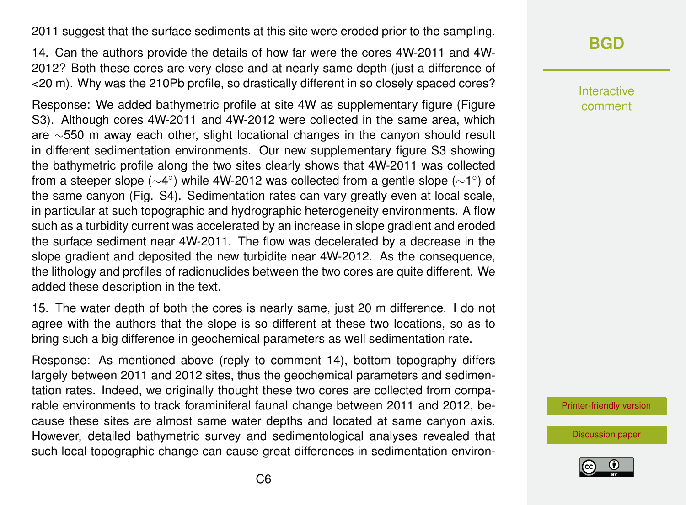2011 suggest that the surface sediments at this site were eroded prior to the sampling.

14. Can the authors provide the details of how far were the cores 4W-2011 and 4W-2012? Both these cores are very close and at nearly same depth (just a difference of <20 m). Why was the 210Pb profile, so drastically different in so closely spaced cores?

Response: We added bathymetric profile at site 4W as supplementary figure (Figure S3). Although cores 4W-2011 and 4W-2012 were collected in the same area, which are ∼550 m away each other, slight locational changes in the canyon should result in different sedimentation environments. Our new supplementary figure S3 showing the bathymetric profile along the two sites clearly shows that 4W-2011 was collected from a steeper slope ( $\sim$ 4°) while 4W-2012 was collected from a gentle slope ( $\sim$ 1°) of the same canyon (Fig. S4). Sedimentation rates can vary greatly even at local scale, in particular at such topographic and hydrographic heterogeneity environments. A flow such as a turbidity current was accelerated by an increase in slope gradient and eroded the surface sediment near 4W-2011. The flow was decelerated by a decrease in the slope gradient and deposited the new turbidite near 4W-2012. As the consequence, the lithology and profiles of radionuclides between the two cores are quite different. We added these description in the text.

15. The water depth of both the cores is nearly same, just 20 m difference. I do not agree with the authors that the slope is so different at these two locations, so as to bring such a big difference in geochemical parameters as well sedimentation rate.

Response: As mentioned above (reply to comment 14), bottom topography differs largely between 2011 and 2012 sites, thus the geochemical parameters and sedimentation rates. Indeed, we originally thought these two cores are collected from comparable environments to track foraminiferal faunal change between 2011 and 2012, because these sites are almost same water depths and located at same canyon axis. However, detailed bathymetric survey and sedimentological analyses revealed that such local topographic change can cause great differences in sedimentation environ-

## **[BGD](https://www.biogeosciences-discuss.net/)**

Interactive comment

[Printer-friendly version](https://www.biogeosciences-discuss.net/bg-2018-237/bg-2018-237-AC2-print.pdf)

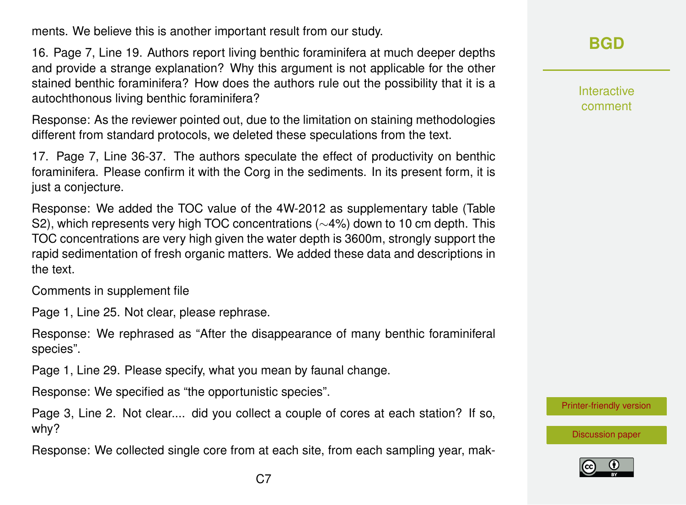ments. We believe this is another important result from our study.

16. Page 7, Line 19. Authors report living benthic foraminifera at much deeper depths and provide a strange explanation? Why this argument is not applicable for the other stained benthic foraminifera? How does the authors rule out the possibility that it is a autochthonous living benthic foraminifera?

Response: As the reviewer pointed out, due to the limitation on staining methodologies different from standard protocols, we deleted these speculations from the text.

17. Page 7, Line 36-37. The authors speculate the effect of productivity on benthic foraminifera. Please confirm it with the Corg in the sediments. In its present form, it is just a conjecture.

Response: We added the TOC value of the 4W-2012 as supplementary table (Table S2), which represents very high TOC concentrations (∼4%) down to 10 cm depth. This TOC concentrations are very high given the water depth is 3600m, strongly support the rapid sedimentation of fresh organic matters. We added these data and descriptions in the text.

Comments in supplement file

Page 1, Line 25. Not clear, please rephrase.

Response: We rephrased as "After the disappearance of many benthic foraminiferal species".

Page 1, Line 29. Please specify, what you mean by faunal change.

Response: We specified as "the opportunistic species".

Page 3, Line 2. Not clear.... did you collect a couple of cores at each station? If so, why?

Response: We collected single core from at each site, from each sampling year, mak-

**[BGD](https://www.biogeosciences-discuss.net/)**

Interactive comment

[Printer-friendly version](https://www.biogeosciences-discuss.net/bg-2018-237/bg-2018-237-AC2-print.pdf)